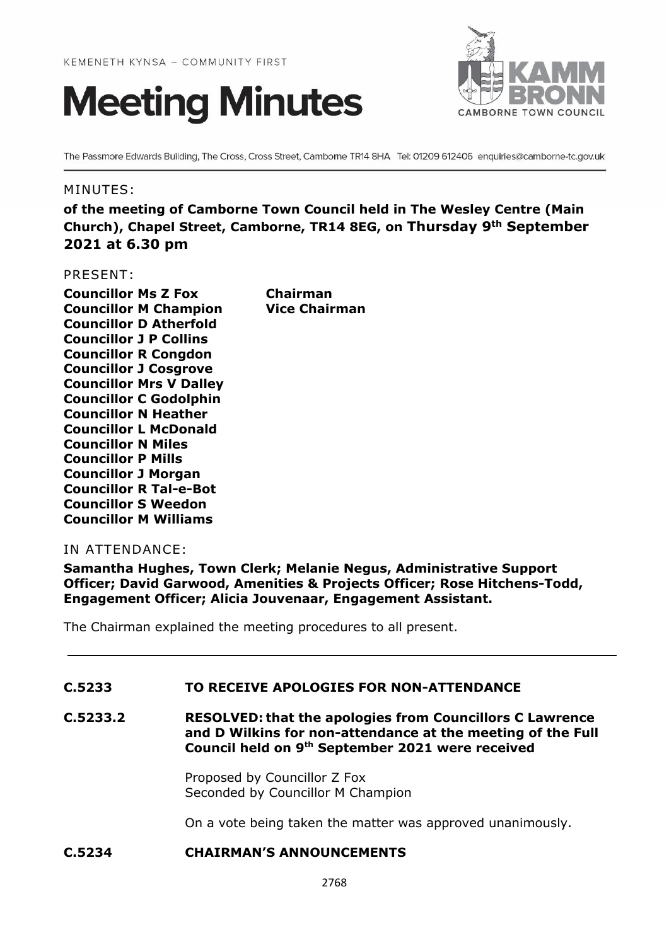



The Passmore Edwards Building, The Cross, Cross Street, Camborne TR14 8HA Tel: 01209 612406 enquiries@camborne-tc.gov.uk

#### MINUTES:

**of the meeting of Camborne Town Council held in The Wesley Centre (Main Church), Chapel Street, Camborne, TR14 8EG, on Thursday 9th September 2021 at 6.30 pm**

#### PRESENT:

**Councillor Ms Z Fox Chairman Councillor M Champion Vice Chairman Councillor D Atherfold Councillor J P Collins Councillor R Congdon Councillor J Cosgrove Councillor Mrs V Dalley Councillor C Godolphin Councillor N Heather Councillor L McDonald Councillor N Miles Councillor P Mills Councillor J Morgan Councillor R Tal-e-Bot Councillor S Weedon Councillor M Williams**

#### IN ATTENDANCE:

**Samantha Hughes, Town Clerk; Melanie Negus, Administrative Support Officer; David Garwood, Amenities & Projects Officer; Rose Hitchens-Todd, Engagement Officer; Alicia Jouvenaar, Engagement Assistant.**

The Chairman explained the meeting procedures to all present.

# **C.5233 TO RECEIVE APOLOGIES FOR NON-ATTENDANCE**

**C.5233.2 RESOLVED: that the apologies from Councillors C Lawrence and D Wilkins for non-attendance at the meeting of the Full Council held on 9 th September 2021 were received**

> Proposed by Councillor Z Fox Seconded by Councillor M Champion

On a vote being taken the matter was approved unanimously.

# **C.5234 CHAIRMAN'S ANNOUNCEMENTS**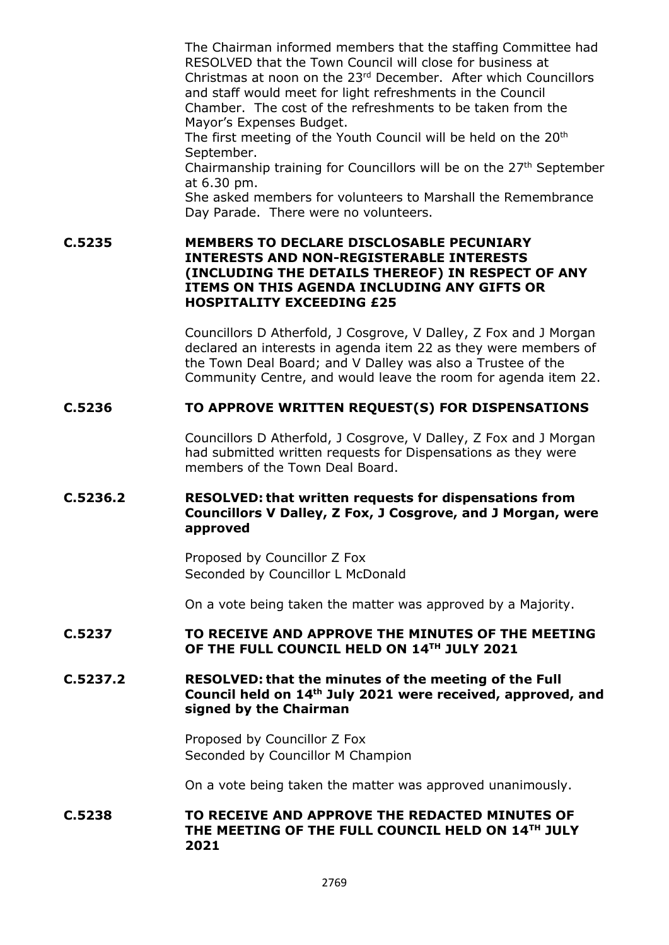The Chairman informed members that the staffing Committee had RESOLVED that the Town Council will close for business at Christmas at noon on the 23rd December. After which Councillors and staff would meet for light refreshments in the Council Chamber. The cost of the refreshments to be taken from the Mayor's Expenses Budget.

The first meeting of the Youth Council will be held on the 20<sup>th</sup> September.

Chairmanship training for Councillors will be on the 27th September at 6.30 pm.

She asked members for volunteers to Marshall the Remembrance Day Parade. There were no volunteers.

**C.5235 MEMBERS TO DECLARE DISCLOSABLE PECUNIARY INTERESTS AND NON-REGISTERABLE INTERESTS (INCLUDING THE DETAILS THEREOF) IN RESPECT OF ANY ITEMS ON THIS AGENDA INCLUDING ANY GIFTS OR HOSPITALITY EXCEEDING £25**

> Councillors D Atherfold, J Cosgrove, V Dalley, Z Fox and J Morgan declared an interests in agenda item 22 as they were members of the Town Deal Board; and V Dalley was also a Trustee of the Community Centre, and would leave the room for agenda item 22.

### **C.5236 TO APPROVE WRITTEN REQUEST(S) FOR DISPENSATIONS**

Councillors D Atherfold, J Cosgrove, V Dalley, Z Fox and J Morgan had submitted written requests for Dispensations as they were members of the Town Deal Board.

## **C.5236.2 RESOLVED: that written requests for dispensations from Councillors V Dalley, Z Fox, J Cosgrove, and J Morgan, were approved**

Proposed by Councillor Z Fox Seconded by Councillor L McDonald

On a vote being taken the matter was approved by a Majority.

## **C.5237 TO RECEIVE AND APPROVE THE MINUTES OF THE MEETING OF THE FULL COUNCIL HELD ON 14TH JULY 2021**

### **C.5237.2 RESOLVED: that the minutes of the meeting of the Full Council held on 14th July 2021 were received, approved, and signed by the Chairman**

Proposed by Councillor Z Fox Seconded by Councillor M Champion

On a vote being taken the matter was approved unanimously.

## **C.5238 TO RECEIVE AND APPROVE THE REDACTED MINUTES OF THE MEETING OF THE FULL COUNCIL HELD ON 14TH JULY 2021**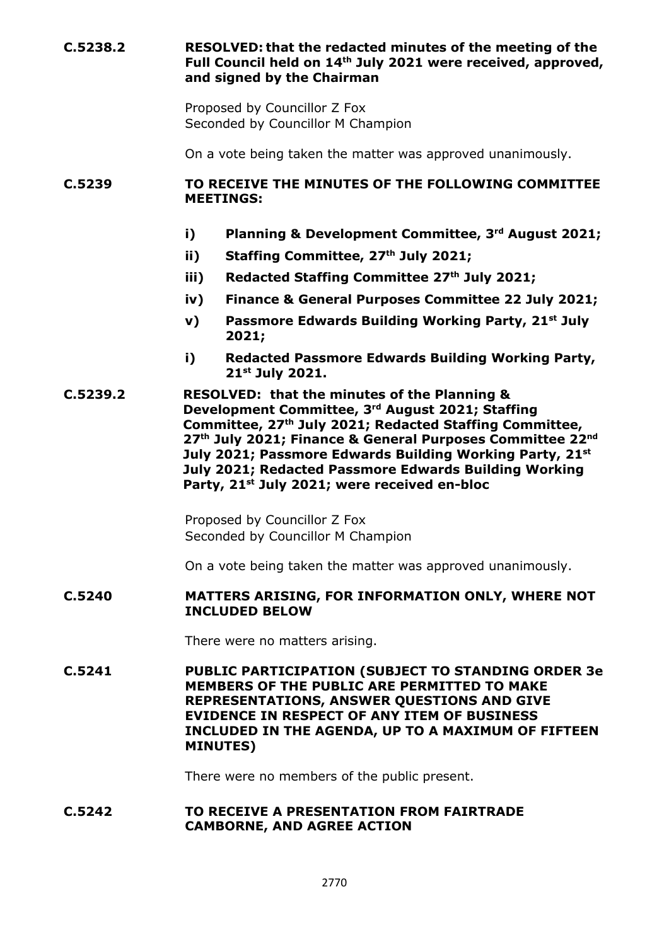**C.5238.2 RESOLVED: that the redacted minutes of the meeting of the Full Council held on 14th July 2021 were received, approved, and signed by the Chairman**

> Proposed by Councillor Z Fox Seconded by Councillor M Champion

On a vote being taken the matter was approved unanimously.

#### **C.5239 TO RECEIVE THE MINUTES OF THE FOLLOWING COMMITTEE MEETINGS:**

- **i) Planning & Development Committee, 3 rd August 2021;**
- **ii) Staffing Committee, 27th July 2021;**
- **iii) Redacted Staffing Committee 27th July 2021;**
- **iv) Finance & General Purposes Committee 22 July 2021;**
- **v) Passmore Edwards Building Working Party, 21st July 2021;**
- **i) Redacted Passmore Edwards Building Working Party, 21st July 2021.**

**C.5239.2 RESOLVED: that the minutes of the Planning & Development Committee, 3 rd August 2021; Staffing Committee, 27th July 2021; Redacted Staffing Committee, 27th July 2021; Finance & General Purposes Committee 22nd July 2021; Passmore Edwards Building Working Party, 21st July 2021; Redacted Passmore Edwards Building Working Party, 21st July 2021; were received en-bloc**

> Proposed by Councillor Z Fox Seconded by Councillor M Champion

On a vote being taken the matter was approved unanimously.

#### **C.5240 MATTERS ARISING, FOR INFORMATION ONLY, WHERE NOT INCLUDED BELOW**

There were no matters arising.

**C.5241 PUBLIC PARTICIPATION (SUBJECT TO STANDING ORDER 3e MEMBERS OF THE PUBLIC ARE PERMITTED TO MAKE REPRESENTATIONS, ANSWER QUESTIONS AND GIVE EVIDENCE IN RESPECT OF ANY ITEM OF BUSINESS INCLUDED IN THE AGENDA, UP TO A MAXIMUM OF FIFTEEN MINUTES)**

There were no members of the public present.

#### **C.5242 TO RECEIVE A PRESENTATION FROM FAIRTRADE CAMBORNE, AND AGREE ACTION**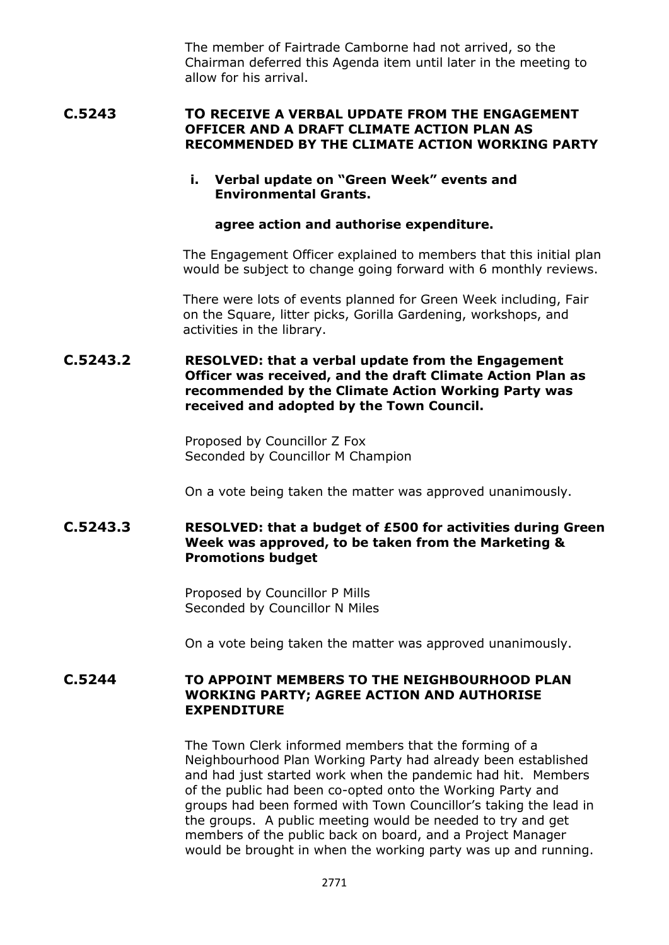The member of Fairtrade Camborne had not arrived, so the Chairman deferred this Agenda item until later in the meeting to allow for his arrival.

**C.5243 TO RECEIVE A VERBAL UPDATE FROM THE ENGAGEMENT OFFICER AND A DRAFT CLIMATE ACTION PLAN AS RECOMMENDED BY THE CLIMATE ACTION WORKING PARTY**

#### **i. Verbal update on "Green Week" events and Environmental Grants.**

#### **agree action and authorise expenditure.**

The Engagement Officer explained to members that this initial plan would be subject to change going forward with 6 monthly reviews.

There were lots of events planned for Green Week including, Fair on the Square, litter picks, Gorilla Gardening, workshops, and activities in the library.

### **C.5243.2 RESOLVED: that a verbal update from the Engagement Officer was received, and the draft Climate Action Plan as recommended by the Climate Action Working Party was received and adopted by the Town Council.**

Proposed by Councillor Z Fox Seconded by Councillor M Champion

On a vote being taken the matter was approved unanimously.

## **C.5243.3 RESOLVED: that a budget of £500 for activities during Green Week was approved, to be taken from the Marketing & Promotions budget**

Proposed by Councillor P Mills Seconded by Councillor N Miles

On a vote being taken the matter was approved unanimously.

#### **C.5244 TO APPOINT MEMBERS TO THE NEIGHBOURHOOD PLAN WORKING PARTY; AGREE ACTION AND AUTHORISE EXPENDITURE**

The Town Clerk informed members that the forming of a Neighbourhood Plan Working Party had already been established and had just started work when the pandemic had hit. Members of the public had been co-opted onto the Working Party and groups had been formed with Town Councillor's taking the lead in the groups. A public meeting would be needed to try and get members of the public back on board, and a Project Manager would be brought in when the working party was up and running.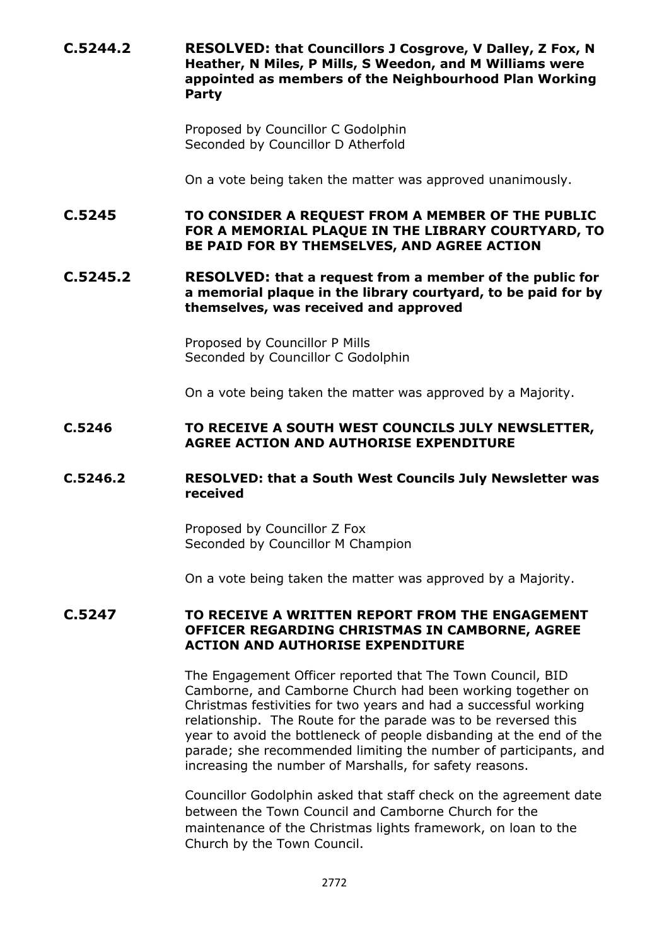**C.5244.2 RESOLVED: that Councillors J Cosgrove, V Dalley, Z Fox, N Heather, N Miles, P Mills, S Weedon, and M Williams were appointed as members of the Neighbourhood Plan Working Party**

> Proposed by Councillor C Godolphin Seconded by Councillor D Atherfold

On a vote being taken the matter was approved unanimously.

**C.5245 TO CONSIDER A REQUEST FROM A MEMBER OF THE PUBLIC FOR A MEMORIAL PLAQUE IN THE LIBRARY COURTYARD, TO BE PAID FOR BY THEMSELVES, AND AGREE ACTION**

**C.5245.2 RESOLVED: that a request from a member of the public for a memorial plaque in the library courtyard, to be paid for by themselves, was received and approved**

> Proposed by Councillor P Mills Seconded by Councillor C Godolphin

On a vote being taken the matter was approved by a Majority.

#### **C.5246 TO RECEIVE A SOUTH WEST COUNCILS JULY NEWSLETTER, AGREE ACTION AND AUTHORISE EXPENDITURE**

#### **C.5246.2 RESOLVED: that a South West Councils July Newsletter was received**

Proposed by Councillor Z Fox Seconded by Councillor M Champion

On a vote being taken the matter was approved by a Majority.

#### **C.5247 TO RECEIVE A WRITTEN REPORT FROM THE ENGAGEMENT OFFICER REGARDING CHRISTMAS IN CAMBORNE, AGREE ACTION AND AUTHORISE EXPENDITURE**

The Engagement Officer reported that The Town Council, BID Camborne, and Camborne Church had been working together on Christmas festivities for two years and had a successful working relationship. The Route for the parade was to be reversed this year to avoid the bottleneck of people disbanding at the end of the parade; she recommended limiting the number of participants, and increasing the number of Marshalls, for safety reasons.

Councillor Godolphin asked that staff check on the agreement date between the Town Council and Camborne Church for the maintenance of the Christmas lights framework, on loan to the Church by the Town Council.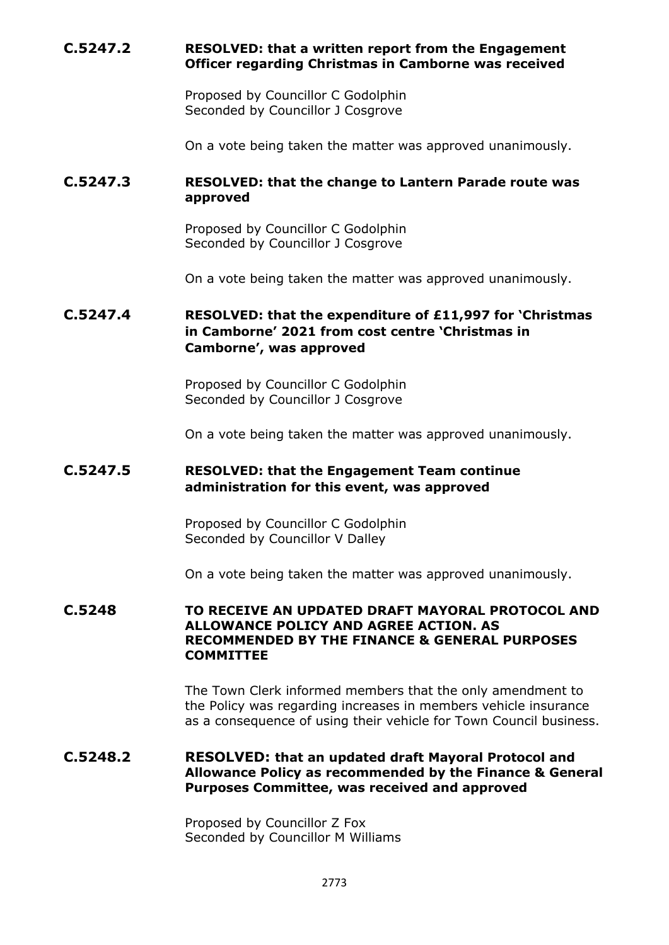# **C.5247.2 RESOLVED: that a written report from the Engagement Officer regarding Christmas in Camborne was received**

Proposed by Councillor C Godolphin Seconded by Councillor J Cosgrove

On a vote being taken the matter was approved unanimously.

# **C.5247.3 RESOLVED: that the change to Lantern Parade route was approved**

Proposed by Councillor C Godolphin Seconded by Councillor J Cosgrove

On a vote being taken the matter was approved unanimously.

# **C.5247.4 RESOLVED: that the expenditure of £11,997 for 'Christmas in Camborne' 2021 from cost centre 'Christmas in Camborne', was approved**

Proposed by Councillor C Godolphin Seconded by Councillor J Cosgrove

On a vote being taken the matter was approved unanimously.

## **C.5247.5 RESOLVED: that the Engagement Team continue administration for this event, was approved**

Proposed by Councillor C Godolphin Seconded by Councillor V Dalley

On a vote being taken the matter was approved unanimously.

#### **C.5248 TO RECEIVE AN UPDATED DRAFT MAYORAL PROTOCOL AND ALLOWANCE POLICY AND AGREE ACTION. AS RECOMMENDED BY THE FINANCE & GENERAL PURPOSES COMMITTEE**

The Town Clerk informed members that the only amendment to the Policy was regarding increases in members vehicle insurance as a consequence of using their vehicle for Town Council business.

### **C.5248.2 RESOLVED: that an updated draft Mayoral Protocol and Allowance Policy as recommended by the Finance & General Purposes Committee, was received and approved**

Proposed by Councillor Z Fox Seconded by Councillor M Williams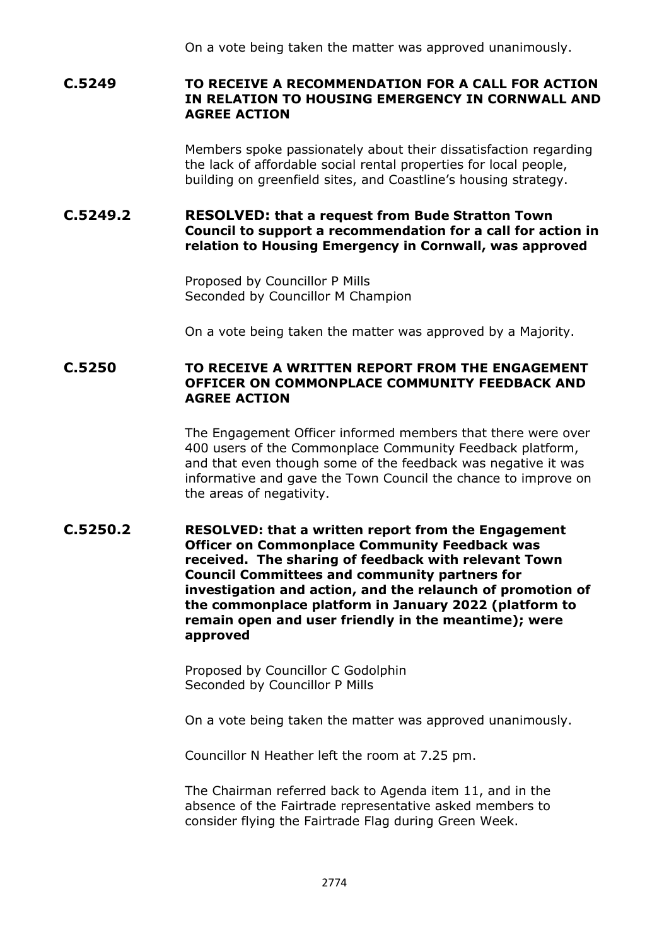On a vote being taken the matter was approved unanimously.

## **C.5249 TO RECEIVE A RECOMMENDATION FOR A CALL FOR ACTION IN RELATION TO HOUSING EMERGENCY IN CORNWALL AND AGREE ACTION**

Members spoke passionately about their dissatisfaction regarding the lack of affordable social rental properties for local people, building on greenfield sites, and Coastline's housing strategy.

# **C.5249.2 RESOLVED: that a request from Bude Stratton Town Council to support a recommendation for a call for action in relation to Housing Emergency in Cornwall, was approved**

Proposed by Councillor P Mills Seconded by Councillor M Champion

On a vote being taken the matter was approved by a Majority.

### **C.5250 TO RECEIVE A WRITTEN REPORT FROM THE ENGAGEMENT OFFICER ON COMMONPLACE COMMUNITY FEEDBACK AND AGREE ACTION**

The Engagement Officer informed members that there were over 400 users of the Commonplace Community Feedback platform, and that even though some of the feedback was negative it was informative and gave the Town Council the chance to improve on the areas of negativity.

### **C.5250.2 RESOLVED: that a written report from the Engagement Officer on Commonplace Community Feedback was received. The sharing of feedback with relevant Town Council Committees and community partners for investigation and action, and the relaunch of promotion of the commonplace platform in January 2022 (platform to remain open and user friendly in the meantime); were approved**

Proposed by Councillor C Godolphin Seconded by Councillor P Mills

On a vote being taken the matter was approved unanimously.

Councillor N Heather left the room at 7.25 pm.

The Chairman referred back to Agenda item 11, and in the absence of the Fairtrade representative asked members to consider flying the Fairtrade Flag during Green Week.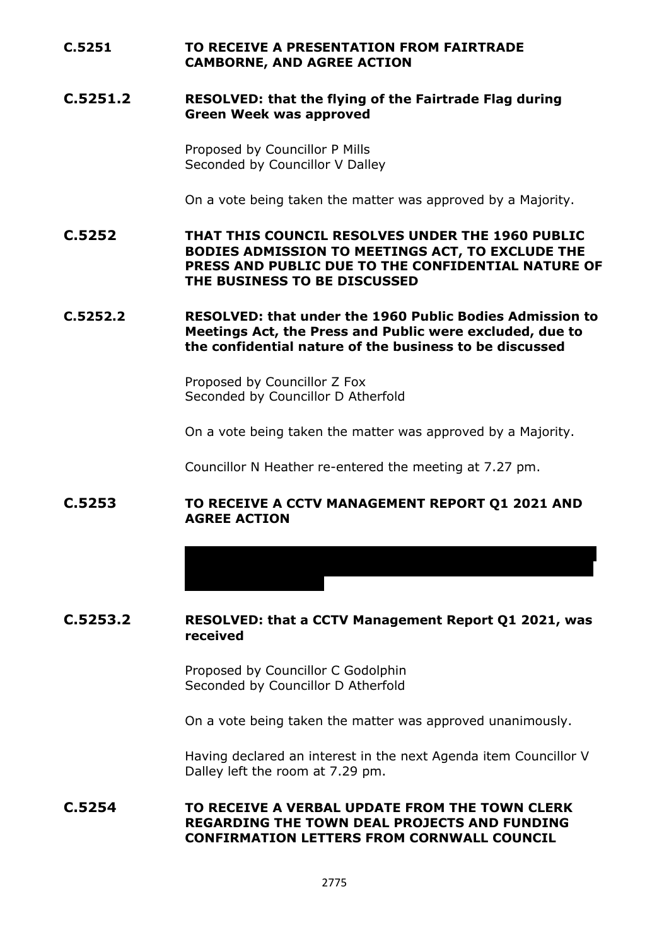## **C.5251 TO RECEIVE A PRESENTATION FROM FAIRTRADE CAMBORNE, AND AGREE ACTION**

### **C.5251.2 RESOLVED: that the flying of the Fairtrade Flag during Green Week was approved**

Proposed by Councillor P Mills Seconded by Councillor V Dalley

On a vote being taken the matter was approved by a Majority.

**C.5252 THAT THIS COUNCIL RESOLVES UNDER THE 1960 PUBLIC BODIES ADMISSION TO MEETINGS ACT, TO EXCLUDE THE PRESS AND PUBLIC DUE TO THE CONFIDENTIAL NATURE OF THE BUSINESS TO BE DISCUSSED**

**C.5252.2 RESOLVED: that under the 1960 Public Bodies Admission to Meetings Act, the Press and Public were excluded, due to the confidential nature of the business to be discussed**

> Proposed by Councillor Z Fox Seconded by Councillor D Atherfold

On a vote being taken the matter was approved by a Majority.

from page 3 of the Report, he asked that this be queried with the

Councillor N Heather re-entered the meeting at 7.27 pm.

#### **C.5253 TO RECEIVE A CCTV MANAGEMENT REPORT Q1 2021 AND AGREE ACTION**

#### **C.5253.2 RESOLVED: that a CCTV Management Report Q1 2021, was received**

Proposed by Councillor C Godolphin Seconded by Councillor D Atherfold

On a vote being taken the matter was approved unanimously.

Having declared an interest in the next Agenda item Councillor V Dalley left the room at 7.29 pm.

**C.5254 TO RECEIVE A VERBAL UPDATE FROM THE TOWN CLERK REGARDING THE TOWN DEAL PROJECTS AND FUNDING CONFIRMATION LETTERS FROM CORNWALL COUNCIL**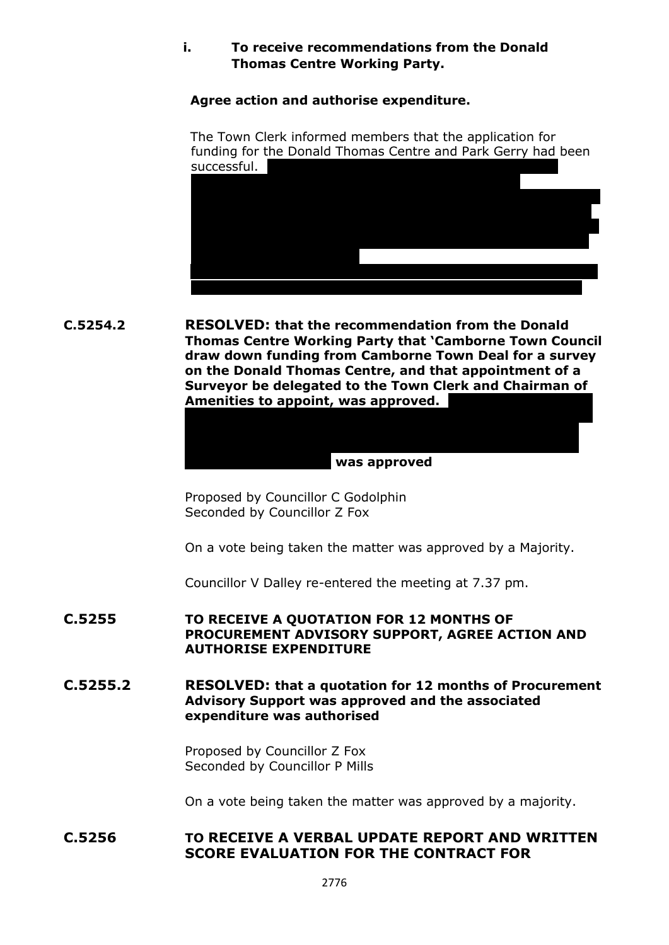# **i. To receive recommendations from the Donald Thomas Centre Working Party.**

**Agree action and authorise expenditure.**

The Town Clerk informed members that the application for funding for the Donald Thomas Centre and Park Gerry had been successful.



**C.5254.2 RESOLVED: that the recommendation from the Donald Thomas Centre Working Party that 'Camborne Town Council draw down funding from Camborne Town Deal for a survey on the Donald Thomas Centre, and that appointment of a Surveyor be delegated to the Town Clerk and Chairman of**  Amenities to appoint, was approved. **to appoint Allen Construction who manage the PEB project** 

#### **the Financial Regulations, and put through a variation to our current contract; was approved**

**that financial regulation 11 be suspended, as per 17.2 of** 

Proposed by Councillor C Godolphin Seconded by Councillor Z Fox

On a vote being taken the matter was approved by a Majority.

Councillor V Dalley re-entered the meeting at 7.37 pm.

## **C.5255 TO RECEIVE A QUOTATION FOR 12 MONTHS OF PROCUREMENT ADVISORY SUPPORT, AGREE ACTION AND AUTHORISE EXPENDITURE**

## **C.5255.2 RESOLVED: that a quotation for 12 months of Procurement Advisory Support was approved and the associated expenditure was authorised**

Proposed by Councillor Z Fox Seconded by Councillor P Mills

On a vote being taken the matter was approved by a majority.

# **C.5256 TO RECEIVE A VERBAL UPDATE REPORT AND WRITTEN SCORE EVALUATION FOR THE CONTRACT FOR**